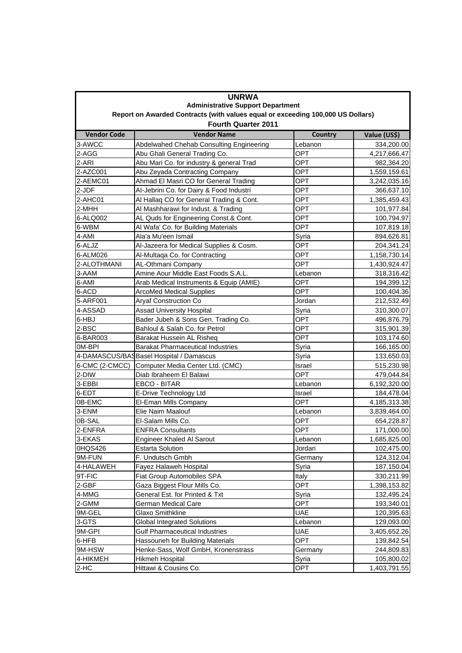| <b>UNRWA</b><br><b>Administrative Support Department</b><br>Report on Awarded Contracts (with values equal or exceeding 100,000 US Dollars) |                                          |            |              |  |
|---------------------------------------------------------------------------------------------------------------------------------------------|------------------------------------------|------------|--------------|--|
|                                                                                                                                             |                                          |            |              |  |
| 3-AWCC                                                                                                                                      | Abdelwahed Chehab Consulting Engineering | Lebanon    | 334,200.00   |  |
| 2-AGG                                                                                                                                       | Abu Ghali General Trading Co.            | OPT        | 4,217,666.47 |  |
| 2-ARI                                                                                                                                       | Abu Mari Co. for industry & general Trad | OPT        | 982,364.20   |  |
| 2-AZC001                                                                                                                                    | Abu Zeyada Contracting Company           | <b>OPT</b> | 1,559,159.61 |  |
| 2-AEMC01                                                                                                                                    | Ahmad El Masri CO for General Trading    | <b>OPT</b> | 3,242,035.16 |  |
| 2-JDF                                                                                                                                       | Al-Jebrini Co. for Dairy & Food Industri | OPT        | 366,637.10   |  |
| 2-AHC01                                                                                                                                     | Al Hallaq CO for General Trading & Cont. | <b>OPT</b> | 1,385,459.43 |  |
| 2-MHH                                                                                                                                       | Al Mashharawi for Indust. & Trading      | <b>OPT</b> | 101,977.84   |  |
| 6-ALQ002                                                                                                                                    | AL Quds for Engineering Const.& Cont.    | OPT        | 100,794.97   |  |
| 6-WBM                                                                                                                                       | Al Wafa' Co. for Building Materials      | OPT        | 107,819.18   |  |
| 4-AMI                                                                                                                                       | Ala'a Mu'een Ismail                      | Syria      | 894,626.81   |  |
| 6-ALJZ                                                                                                                                      | Al-Jazeera for Medical Supplies & Cosm.  | <b>OPT</b> | 204,341.24   |  |
| 6-ALM026                                                                                                                                    | Al-Multaqa Co. for Contracting           | OPT        | 1,158,730.14 |  |
| 2-ALOTHMANI                                                                                                                                 | AL-Othmani Company                       | OPT        | 1,430,924.47 |  |
| 3-AAM                                                                                                                                       | Amine Aour Middle East Foods S.A.L.      | Lebanon    | 318,316.42   |  |
| 6-AMI                                                                                                                                       | Arab Medical Instruments & Equip (AMIE)  | OPT        | 194,399.12   |  |
| 6-ACD                                                                                                                                       | <b>ArcoMed Medical Supplies</b>          | OPT        | 100,404.36   |  |
| 5-ARF001                                                                                                                                    | <b>Aryaf Construction Co</b>             | Jordan     | 212,532.49   |  |
| 4-ASSAD                                                                                                                                     | <b>Assad University Hospital</b>         | Syria      | 310,300.07   |  |
| 6-HBJ                                                                                                                                       | Bader Jubeh & Sons Gen. Trading Co.      | <b>OPT</b> | 496,876.79   |  |
| 2-BSC                                                                                                                                       | Bahloul & Salah Co. for Petrol           | <b>OPT</b> | 315,901.39   |  |
| 6-BAR003                                                                                                                                    | Barakat Hussein AL Risheg                | OPT        | 103,174.60   |  |
| 0M-BPI                                                                                                                                      | <b>Barakat Pharmaceutical Industries</b> | Syria      | 166,165.00   |  |
|                                                                                                                                             | 4-DAMASCUS/BAS Basel Hospital / Damascus | Syria      | 133,650.03   |  |
| 6-CMC (2-CMCC)                                                                                                                              | Computer Media Center Ltd. (CMC)         | Israel     | 515,230.98   |  |
| 2-DIW                                                                                                                                       | Diab Ibraheem El Balawi                  | OPT        | 479,044.84   |  |
| 3-EBBI                                                                                                                                      | EBCO - BITAR                             | Lebanon    | 6,192,320.00 |  |
| 6-EDT                                                                                                                                       | E-Drive Technology Ltd                   | Israel     | 184,478.04   |  |
| 0B-EMC                                                                                                                                      | El-Eman Mills Company                    | OPT        | 4,185,313.38 |  |
| 3-ENM                                                                                                                                       | Elie Naim Maalouf                        | Lebanon    | 3,839,464.00 |  |
| 0B-SAL                                                                                                                                      | El-Salam Mills Co.                       | OPT        | 654,228.87   |  |
| 2-ENFRA                                                                                                                                     | <b>ENFRA Consultants</b>                 | OPT        | 171,000.00   |  |
| 3-EKAS                                                                                                                                      | <b>Engineer Khaled Al Sarout</b>         | Lebanon    | 1,685,825.00 |  |
| 0HQS426                                                                                                                                     | <b>Estarta Solution</b>                  | Jordan     | 102,475.00   |  |
| 9M-FUN                                                                                                                                      | F. Undutsch Gmbh                         | Germany    | 124,312.04   |  |
| 4-HALAWEH                                                                                                                                   | Fayez Halaweh Hospital                   | Syria      | 187,150.04   |  |
| 9T-FIC                                                                                                                                      | Fiat Group Automobiles SPA               | Italy      | 330,211.99   |  |
| 2-GBF                                                                                                                                       | Gaza Biggest Flour Mills Co.             | OPT        | 1,398,153.82 |  |
| 4-MMG                                                                                                                                       | General Est. for Printed & Txt           | Syria      | 132,495.24   |  |
| 2-GMM                                                                                                                                       | German Medical Care                      | OPT        | 193,340.01   |  |
| 9M-GEL                                                                                                                                      | Glaxo Smithkline                         | <b>UAE</b> | 120,395.63   |  |
| 3-GTS                                                                                                                                       | <b>Global Integrated Solutions</b>       | Lebanon    | 129,093.00   |  |
| 9M-GPI                                                                                                                                      | <b>Gulf Pharmaceutical Industries</b>    | <b>UAE</b> | 3,405,652.26 |  |
| 6-HFB                                                                                                                                       | Hassouneh for Building Materials         | OPT        | 139,842.54   |  |
| 9M-HSW                                                                                                                                      | Henke-Sass, Wolf GmbH, Kronenstrass      | Germany    | 244,809.83   |  |
| 4-HIKMEH                                                                                                                                    | Hikmeh Hospital                          | Syria      | 105,800.02   |  |
| $2-HC$                                                                                                                                      | Hittawi & Cousins Co.                    | OPT        | 1,403,791.55 |  |